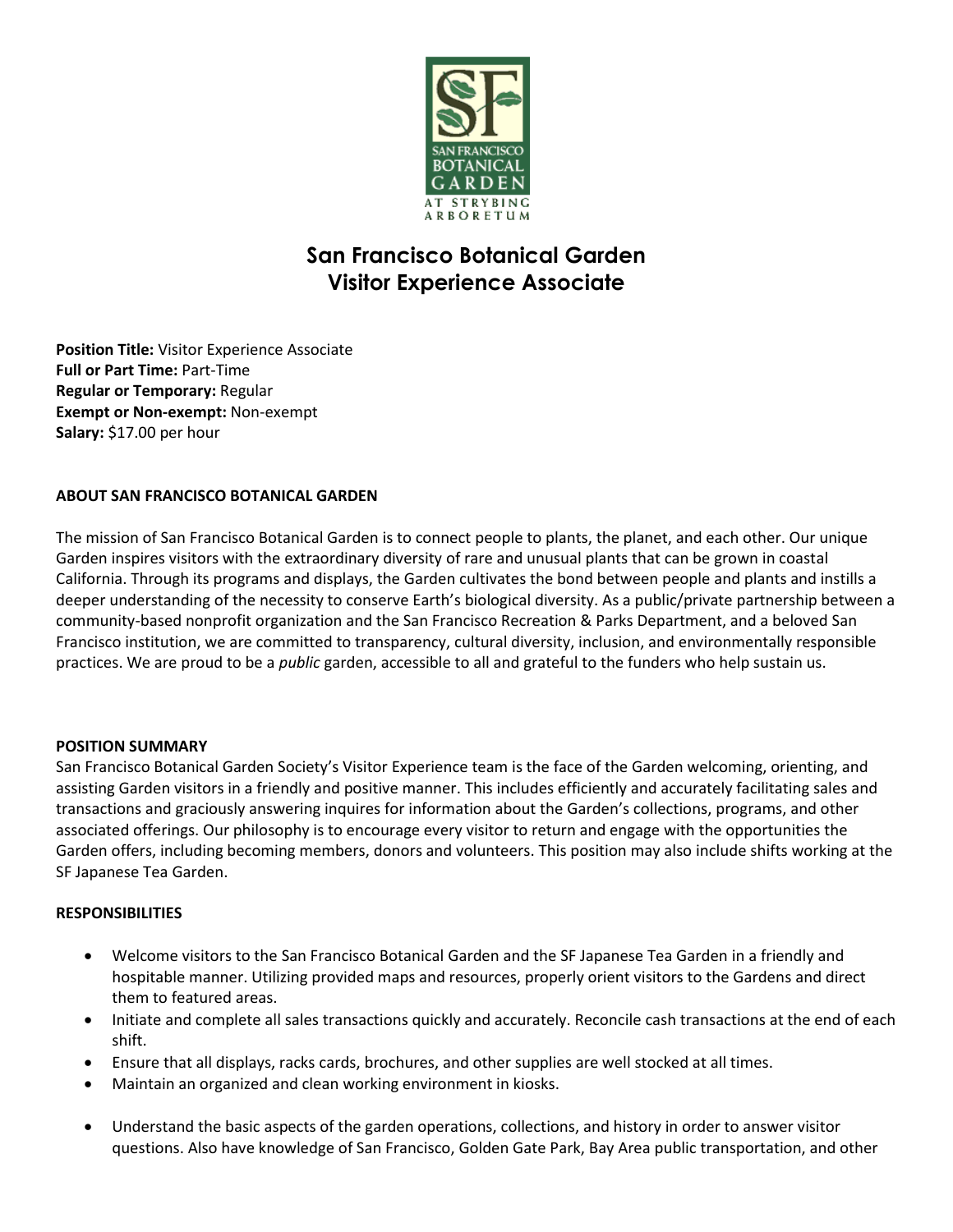

# **San Francisco Botanical Garden Visitor Experience Associate**

**Position Title:** Visitor Experience Associate **Full or Part Time:** Part-Time **Regular or Temporary:** Regular **Exempt or Non-exempt:** Non-exempt **Salary:** \$17.00 per hour

# **ABOUT SAN FRANCISCO BOTANICAL GARDEN**

The mission of San Francisco Botanical Garden is to connect people to plants, the planet, and each other. Our unique Garden inspires visitors with the extraordinary diversity of rare and unusual plants that can be grown in coastal California. Through its programs and displays, the Garden cultivates the bond between people and plants and instills a deeper understanding of the necessity to conserve Earth's biological diversity. As a public/private partnership between a community-based nonprofit organization and the San Francisco Recreation & Parks Department, and a beloved San Francisco institution, we are committed to transparency, cultural diversity, inclusion, and environmentally responsible practices. We are proud to be a *public* garden, accessible to all and grateful to the funders who help sustain us.

### **POSITION SUMMARY**

San Francisco Botanical Garden Society's Visitor Experience team is the face of the Garden welcoming, orienting, and assisting Garden visitors in a friendly and positive manner. This includes efficiently and accurately facilitating sales and transactions and graciously answering inquires for information about the Garden's collections, programs, and other associated offerings. Our philosophy is to encourage every visitor to return and engage with the opportunities the Garden offers, including becoming members, donors and volunteers. This position may also include shifts working at the SF Japanese Tea Garden.

### **RESPONSIBILITIES**

- Welcome visitors to the San Francisco Botanical Garden and the SF Japanese Tea Garden in a friendly and hospitable manner. Utilizing provided maps and resources, properly orient visitors to the Gardens and direct them to featured areas.
- Initiate and complete all sales transactions quickly and accurately. Reconcile cash transactions at the end of each shift.
- Ensure that all displays, racks cards, brochures, and other supplies are well stocked at all times.
- Maintain an organized and clean working environment in kiosks.
- Understand the basic aspects of the garden operations, collections, and history in order to answer visitor questions. Also have knowledge of San Francisco, Golden Gate Park, Bay Area public transportation, and other